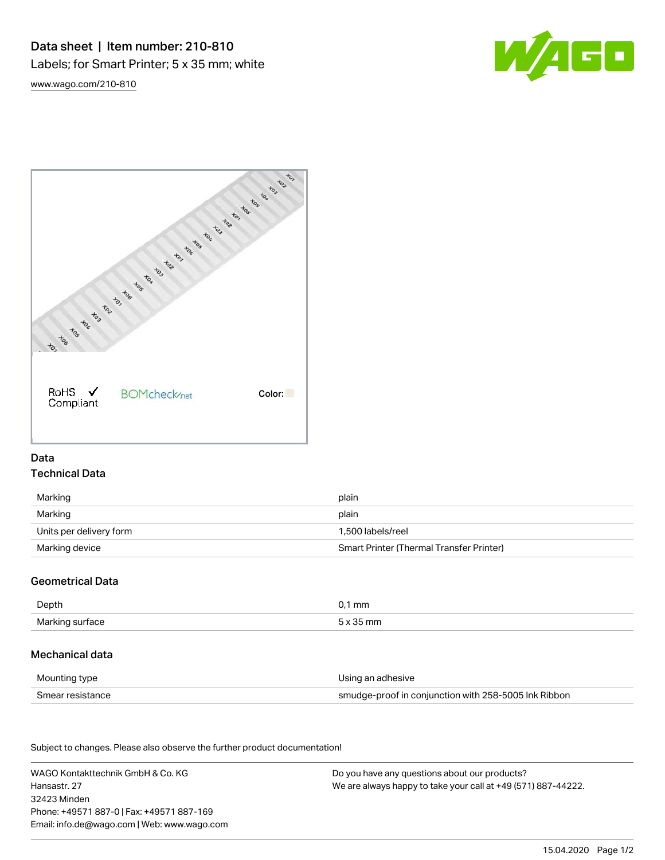# Data sheet | Item number: 210-810 Labels; for Smart Printer; 5 x 35 mm; white

W/4GO

[www.wago.com/210-810](http://www.wago.com/210-810)



# Data Technical Data

| Marking                 | plain                                    |
|-------------------------|------------------------------------------|
| Marking                 | plain                                    |
| Units per delivery form | 1.500 labels/reel                        |
| Marking device          | Smart Printer (Thermal Transfer Printer) |

# Geometrical Data

| Depth                     | m |
|---------------------------|---|
| Marking<br>tace<br>.<br>ັ |   |

# Mechanical data

| Mounting type    | Using an adhesive                                    |
|------------------|------------------------------------------------------|
| Smear resistance | smudge-proof in conjunction with 258-5005 Ink Ribbon |

Subject to changes. Please also observe the further product documentation! Material Data

| WAGO Kontakttechnik GmbH & Co. KG           | Do you have any questions about our products?                 |
|---------------------------------------------|---------------------------------------------------------------|
| Hansastr. 27                                | We are always happy to take your call at +49 (571) 887-44222. |
| 32423 Minden                                |                                                               |
| Phone: +49571 887-01 Fax: +49571 887-169    |                                                               |
| Email: info.de@wago.com   Web: www.wago.com |                                                               |